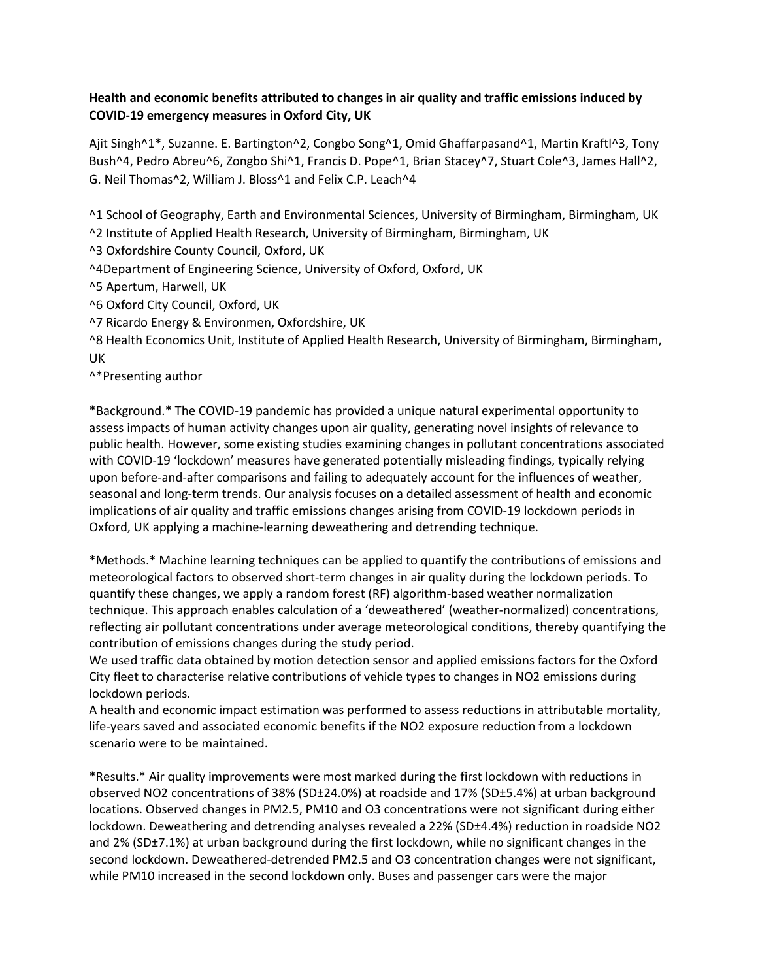## **Health and economic benefits attributed to changes in air quality and traffic emissions induced by COVID-19 emergency measures in Oxford City, UK**

Ajit Singh^1\*, Suzanne. E. Bartington^2, Congbo Song^1, Omid Ghaffarpasand^1, Martin Kraftl^3, Tony Bush^4, Pedro Abreu^6, Zongbo Shi^1, Francis D. Pope^1, Brian Stacey^7, Stuart Cole^3, James Hall^2, G. Neil Thomas^2, William J. Bloss^1 and Felix C.P. Leach^4

^1 School of Geography, Earth and Environmental Sciences, University of Birmingham, Birmingham, UK

^2 Institute of Applied Health Research, University of Birmingham, Birmingham, UK

^3 Oxfordshire County Council, Oxford, UK

^4Department of Engineering Science, University of Oxford, Oxford, UK

^5 Apertum, Harwell, UK

^6 Oxford City Council, Oxford, UK

^7 Ricardo Energy & Environmen, Oxfordshire, UK

^8 Health Economics Unit, Institute of Applied Health Research, University of Birmingham, Birmingham, UK

^\*Presenting author

\*Background.\* The COVID-19 pandemic has provided a unique natural experimental opportunity to assess impacts of human activity changes upon air quality, generating novel insights of relevance to public health. However, some existing studies examining changes in pollutant concentrations associated with COVID-19 'lockdown' measures have generated potentially misleading findings, typically relying upon before-and-after comparisons and failing to adequately account for the influences of weather, seasonal and long-term trends. Our analysis focuses on a detailed assessment of health and economic implications of air quality and traffic emissions changes arising from COVID-19 lockdown periods in Oxford, UK applying a machine-learning deweathering and detrending technique.

\*Methods.\* Machine learning techniques can be applied to quantify the contributions of emissions and meteorological factors to observed short-term changes in air quality during the lockdown periods. To quantify these changes, we apply a random forest (RF) algorithm-based weather normalization technique. This approach enables calculation of a 'deweathered' (weather-normalized) concentrations, reflecting air pollutant concentrations under average meteorological conditions, thereby quantifying the contribution of emissions changes during the study period.

We used traffic data obtained by motion detection sensor and applied emissions factors for the Oxford City fleet to characterise relative contributions of vehicle types to changes in NO2 emissions during lockdown periods.

A health and economic impact estimation was performed to assess reductions in attributable mortality, life-years saved and associated economic benefits if the NO2 exposure reduction from a lockdown scenario were to be maintained.

\*Results.\* Air quality improvements were most marked during the first lockdown with reductions in observed NO2 concentrations of 38% (SD±24.0%) at roadside and 17% (SD±5.4%) at urban background locations. Observed changes in PM2.5, PM10 and O3 concentrations were not significant during either lockdown. Deweathering and detrending analyses revealed a 22% (SD±4.4%) reduction in roadside NO2 and 2% (SD±7.1%) at urban background during the first lockdown, while no significant changes in the second lockdown. Deweathered-detrended PM2.5 and O3 concentration changes were not significant, while PM10 increased in the second lockdown only. Buses and passenger cars were the major